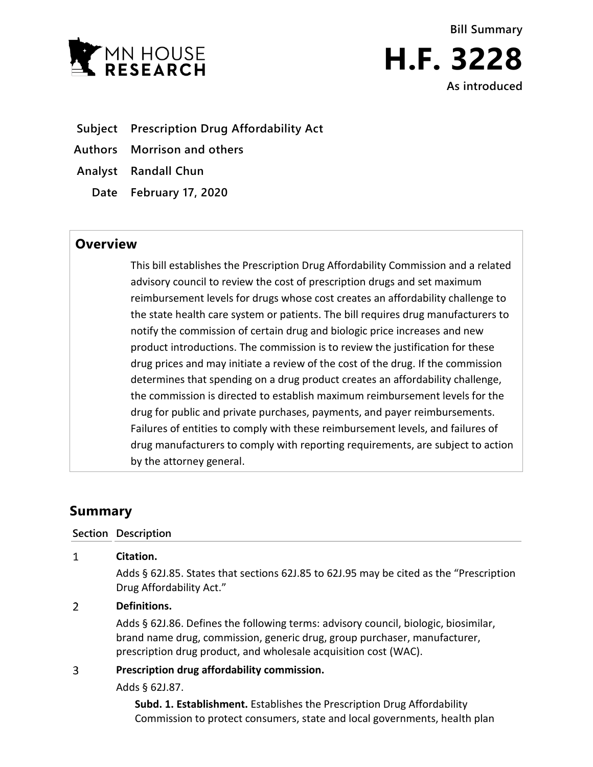

**Bill Summary H.F. 3228 As introduced**

- **Subject Prescription Drug Affordability Act**
- **Authors Morrison and others**
- **Analyst Randall Chun**
	- **Date February 17, 2020**

# **Overview**

This bill establishes the Prescription Drug Affordability Commission and a related advisory council to review the cost of prescription drugs and set maximum reimbursement levels for drugs whose cost creates an affordability challenge to the state health care system or patients. The bill requires drug manufacturers to notify the commission of certain drug and biologic price increases and new product introductions. The commission is to review the justification for these drug prices and may initiate a review of the cost of the drug. If the commission determines that spending on a drug product creates an affordability challenge, the commission is directed to establish maximum reimbursement levels for the drug for public and private purchases, payments, and payer reimbursements. Failures of entities to comply with these reimbursement levels, and failures of drug manufacturers to comply with reporting requirements, are subject to action by the attorney general.

# **Summary**

 $\mathbf{1}$ 

### **Section Description**

# **Citation.** Adds § 62J.85. States that sections 62J.85 to 62J.95 may be cited as the "Prescription Drug Affordability Act."

#### $\overline{2}$ **Definitions.**

Adds § 62J.86. Defines the following terms: advisory council, biologic, biosimilar, brand name drug, commission, generic drug, group purchaser, manufacturer, prescription drug product, and wholesale acquisition cost (WAC).

#### 3 **Prescription drug affordability commission.**

Adds § 62J.87.

**Subd. 1. Establishment.** Establishes the Prescription Drug Affordability Commission to protect consumers, state and local governments, health plan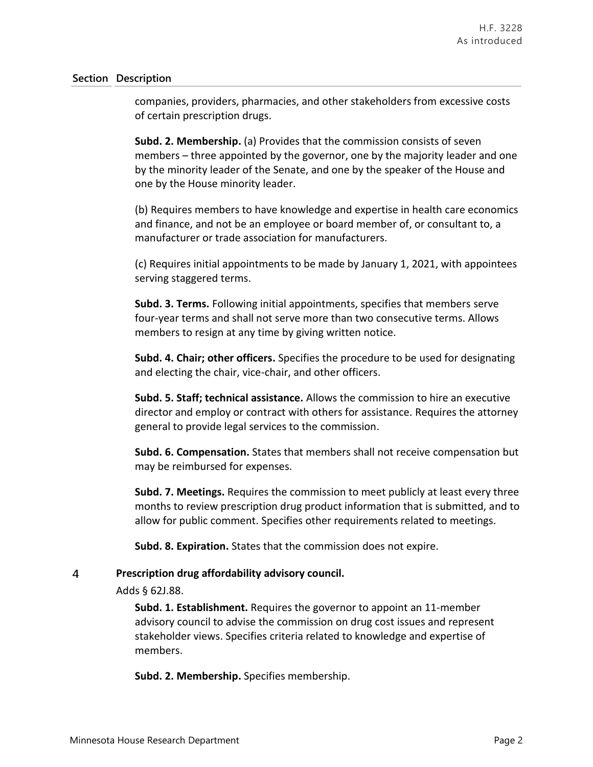companies, providers, pharmacies, and other stakeholders from excessive costs of certain prescription drugs.

**Subd. 2. Membership.** (a) Provides that the commission consists of seven members – three appointed by the governor, one by the majority leader and one by the minority leader of the Senate, and one by the speaker of the House and one by the House minority leader.

(b) Requires members to have knowledge and expertise in health care economics and finance, and not be an employee or board member of, or consultant to, a manufacturer or trade association for manufacturers.

(c) Requires initial appointments to be made by January 1, 2021, with appointees serving staggered terms.

**Subd. 3. Terms.** Following initial appointments, specifies that members serve four-year terms and shall not serve more than two consecutive terms. Allows members to resign at any time by giving written notice.

**Subd. 4. Chair; other officers.** Specifies the procedure to be used for designating and electing the chair, vice-chair, and other officers.

**Subd. 5. Staff; technical assistance.** Allows the commission to hire an executive director and employ or contract with others for assistance. Requires the attorney general to provide legal services to the commission.

**Subd. 6. Compensation.** States that members shall not receive compensation but may be reimbursed for expenses.

**Subd. 7. Meetings.** Requires the commission to meet publicly at least every three months to review prescription drug product information that is submitted, and to allow for public comment. Specifies other requirements related to meetings.

**Subd. 8. Expiration.** States that the commission does not expire.

#### $\overline{4}$ **Prescription drug affordability advisory council.**

Adds § 62J.88.

**Subd. 1. Establishment.** Requires the governor to appoint an 11-member advisory council to advise the commission on drug cost issues and represent stakeholder views. Specifies criteria related to knowledge and expertise of members.

**Subd. 2. Membership.** Specifies membership.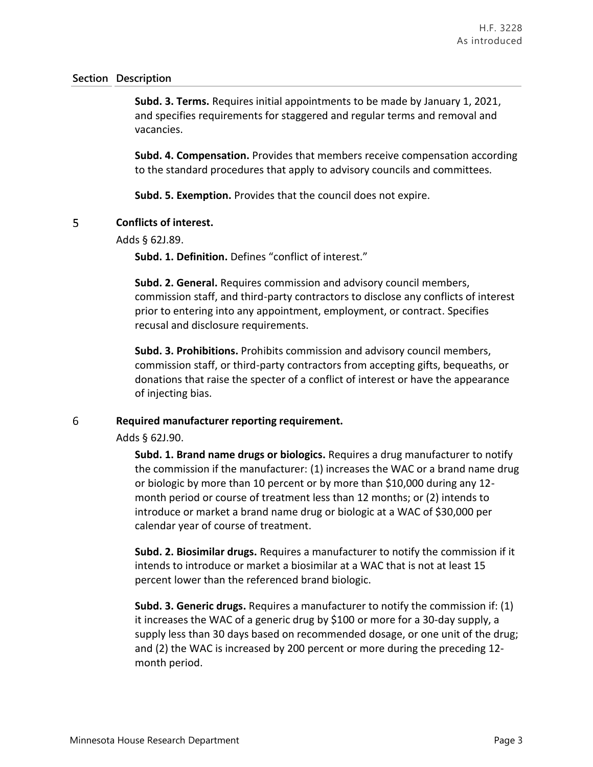**Subd. 3. Terms.** Requires initial appointments to be made by January 1, 2021, and specifies requirements for staggered and regular terms and removal and vacancies.

**Subd. 4. Compensation.** Provides that members receive compensation according to the standard procedures that apply to advisory councils and committees.

**Subd. 5. Exemption.** Provides that the council does not expire.

#### 5 **Conflicts of interest.**

Adds § 62J.89.

**Subd. 1. Definition.** Defines "conflict of interest."

**Subd. 2. General.** Requires commission and advisory council members, commission staff, and third-party contractors to disclose any conflicts of interest prior to entering into any appointment, employment, or contract. Specifies recusal and disclosure requirements.

**Subd. 3. Prohibitions.** Prohibits commission and advisory council members, commission staff, or third-party contractors from accepting gifts, bequeaths, or donations that raise the specter of a conflict of interest or have the appearance of injecting bias.

#### 6 **Required manufacturer reporting requirement.**

Adds § 62J.90.

**Subd. 1. Brand name drugs or biologics.** Requires a drug manufacturer to notify the commission if the manufacturer: (1) increases the WAC or a brand name drug or biologic by more than 10 percent or by more than \$10,000 during any 12 month period or course of treatment less than 12 months; or (2) intends to introduce or market a brand name drug or biologic at a WAC of \$30,000 per calendar year of course of treatment.

**Subd. 2. Biosimilar drugs.** Requires a manufacturer to notify the commission if it intends to introduce or market a biosimilar at a WAC that is not at least 15 percent lower than the referenced brand biologic.

**Subd. 3. Generic drugs.** Requires a manufacturer to notify the commission if: (1) it increases the WAC of a generic drug by \$100 or more for a 30-day supply, a supply less than 30 days based on recommended dosage, or one unit of the drug; and (2) the WAC is increased by 200 percent or more during the preceding 12 month period.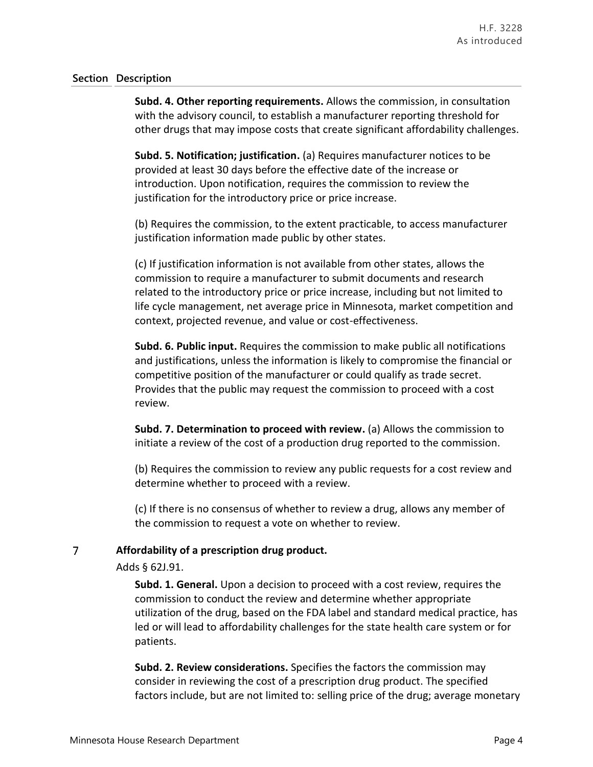**Subd. 4. Other reporting requirements.** Allows the commission, in consultation with the advisory council, to establish a manufacturer reporting threshold for other drugs that may impose costs that create significant affordability challenges.

**Subd. 5. Notification; justification.** (a) Requires manufacturer notices to be provided at least 30 days before the effective date of the increase or introduction. Upon notification, requires the commission to review the justification for the introductory price or price increase.

(b) Requires the commission, to the extent practicable, to access manufacturer justification information made public by other states.

(c) If justification information is not available from other states, allows the commission to require a manufacturer to submit documents and research related to the introductory price or price increase, including but not limited to life cycle management, net average price in Minnesota, market competition and context, projected revenue, and value or cost-effectiveness.

**Subd. 6. Public input.** Requires the commission to make public all notifications and justifications, unless the information is likely to compromise the financial or competitive position of the manufacturer or could qualify as trade secret. Provides that the public may request the commission to proceed with a cost review.

**Subd. 7. Determination to proceed with review.** (a) Allows the commission to initiate a review of the cost of a production drug reported to the commission.

(b) Requires the commission to review any public requests for a cost review and determine whether to proceed with a review.

(c) If there is no consensus of whether to review a drug, allows any member of the commission to request a vote on whether to review.

#### $\overline{7}$ **Affordability of a prescription drug product.**

Adds § 62J.91.

**Subd. 1. General.** Upon a decision to proceed with a cost review, requires the commission to conduct the review and determine whether appropriate utilization of the drug, based on the FDA label and standard medical practice, has led or will lead to affordability challenges for the state health care system or for patients.

**Subd. 2. Review considerations.** Specifies the factors the commission may consider in reviewing the cost of a prescription drug product. The specified factors include, but are not limited to: selling price of the drug; average monetary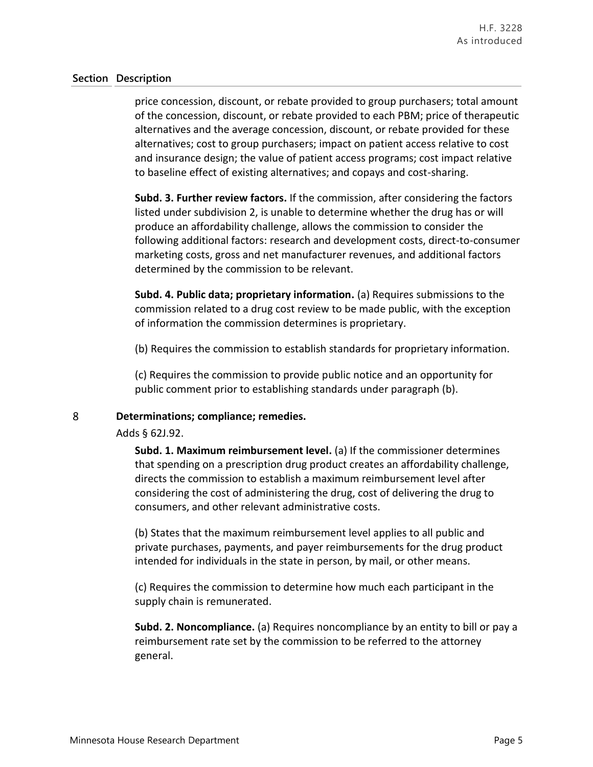price concession, discount, or rebate provided to group purchasers; total amount of the concession, discount, or rebate provided to each PBM; price of therapeutic alternatives and the average concession, discount, or rebate provided for these alternatives; cost to group purchasers; impact on patient access relative to cost and insurance design; the value of patient access programs; cost impact relative to baseline effect of existing alternatives; and copays and cost-sharing.

**Subd. 3. Further review factors.** If the commission, after considering the factors listed under subdivision 2, is unable to determine whether the drug has or will produce an affordability challenge, allows the commission to consider the following additional factors: research and development costs, direct-to-consumer marketing costs, gross and net manufacturer revenues, and additional factors determined by the commission to be relevant.

**Subd. 4. Public data; proprietary information.** (a) Requires submissions to the commission related to a drug cost review to be made public, with the exception of information the commission determines is proprietary.

(b) Requires the commission to establish standards for proprietary information.

(c) Requires the commission to provide public notice and an opportunity for public comment prior to establishing standards under paragraph (b).

#### 8 **Determinations; compliance; remedies.**

Adds § 62J.92.

**Subd. 1. Maximum reimbursement level.** (a) If the commissioner determines that spending on a prescription drug product creates an affordability challenge, directs the commission to establish a maximum reimbursement level after considering the cost of administering the drug, cost of delivering the drug to consumers, and other relevant administrative costs.

(b) States that the maximum reimbursement level applies to all public and private purchases, payments, and payer reimbursements for the drug product intended for individuals in the state in person, by mail, or other means.

(c) Requires the commission to determine how much each participant in the supply chain is remunerated.

**Subd. 2. Noncompliance.** (a) Requires noncompliance by an entity to bill or pay a reimbursement rate set by the commission to be referred to the attorney general.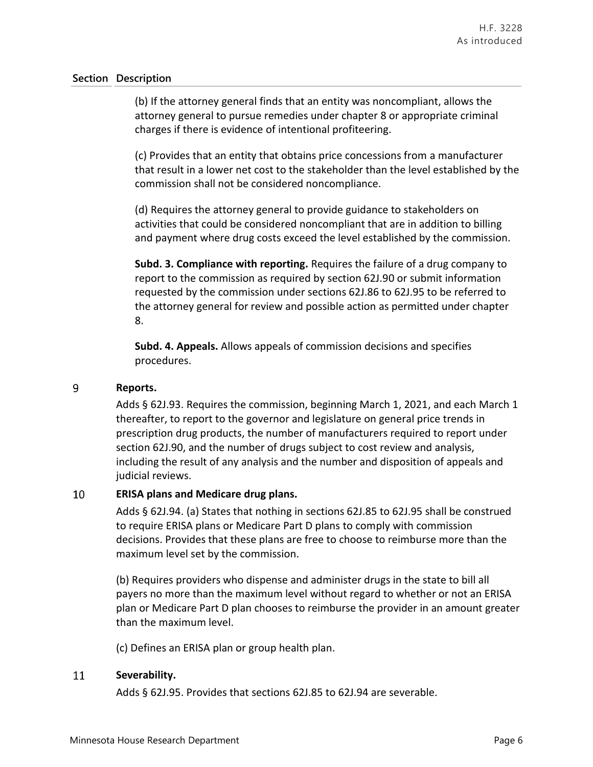(b) If the attorney general finds that an entity was noncompliant, allows the attorney general to pursue remedies under chapter 8 or appropriate criminal charges if there is evidence of intentional profiteering.

(c) Provides that an entity that obtains price concessions from a manufacturer that result in a lower net cost to the stakeholder than the level established by the commission shall not be considered noncompliance.

(d) Requires the attorney general to provide guidance to stakeholders on activities that could be considered noncompliant that are in addition to billing and payment where drug costs exceed the level established by the commission.

**Subd. 3. Compliance with reporting.** Requires the failure of a drug company to report to the commission as required by section 62J.90 or submit information requested by the commission under sections 62J.86 to 62J.95 to be referred to the attorney general for review and possible action as permitted under chapter 8.

**Subd. 4. Appeals.** Allows appeals of commission decisions and specifies procedures.

#### 9 **Reports.**

Adds § 62J.93. Requires the commission, beginning March 1, 2021, and each March 1 thereafter, to report to the governor and legislature on general price trends in prescription drug products, the number of manufacturers required to report under section 62J.90, and the number of drugs subject to cost review and analysis, including the result of any analysis and the number and disposition of appeals and judicial reviews.

#### 10 **ERISA plans and Medicare drug plans.**

Adds § 62J.94. (a) States that nothing in sections 62J.85 to 62J.95 shall be construed to require ERISA plans or Medicare Part D plans to comply with commission decisions. Provides that these plans are free to choose to reimburse more than the maximum level set by the commission.

(b) Requires providers who dispense and administer drugs in the state to bill all payers no more than the maximum level without regard to whether or not an ERISA plan or Medicare Part D plan chooses to reimburse the provider in an amount greater than the maximum level.

(c) Defines an ERISA plan or group health plan.

#### 11 **Severability.**

Adds § 62J.95. Provides that sections 62J.85 to 62J.94 are severable.